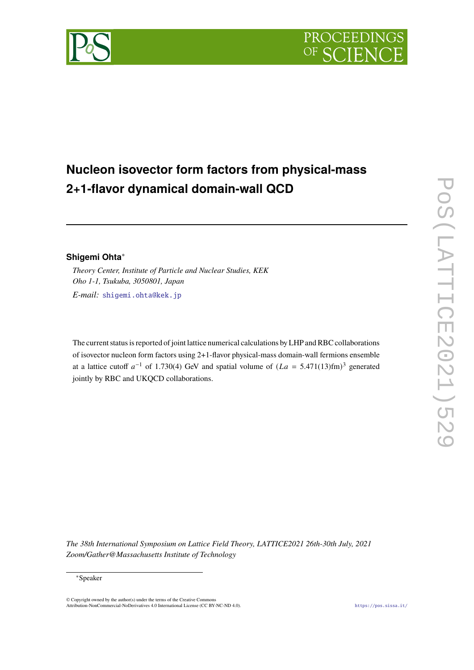

## **Nucleon isovector form factors from physical-mass 2+1-flavor dynamical domain-wall QCD**

## **Shigemi Ohta**<sup>∗</sup>

*Theory Center, Institute of Particle and Nuclear Studies, KEK Oho 1-1, Tsukuba, 3050801, Japan*

*E-mail:* [shigemi.ohta@kek.jp](mailto:shigemi.ohta@kek.jp)

The current status is reported of joint lattice numerical calculations by LHP and RBC collaborations of isovector nucleon form factors using 2+1-flavor physical-mass domain-wall fermions ensemble at a lattice cutoff  $a^{-1}$  of 1.730(4) GeV and spatial volume of  $(La = 5.471(13)$ fm)<sup>3</sup> generated jointly by RBC and UKQCD collaborations.

*The 38th International Symposium on Lattice Field Theory, LATTICE2021 26th-30th July, 2021 Zoom/Gather@Massachusetts Institute of Technology*

© Copyright owned by the author(s) under the terms of the Creative Commons Attribution-NonCommercial-NoDerivatives 4.0 International License (CC BY-NC-ND 4.0). <https://pos.sissa.it/>

<sup>∗</sup>Speaker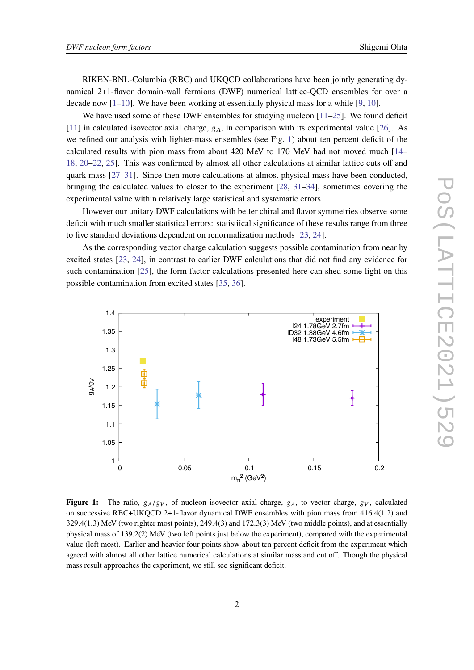RIKEN-BNL-Columbia (RBC) and UKQCD collaborations have been jointly generating dynamical 2+1-flavor domain-wall fermions (DWF) numerical lattice-QCD ensembles for over a decade now  $[1-10]$  $[1-10]$ . We have been working at essentially physical mass for a while  $[9, 10]$  $[9, 10]$ .

We have used some of these DWF ensembles for studying nucleon [\[11–](#page-5-0)[25\]](#page-6-0). We found deficit [\[11\]](#page-5-0) in calculated isovector axial charge,  $g_A$ , in comparison with its experimental value [\[26\]](#page-6-1). As we refined our analysis with lighter-mass ensembles (see Fig. [1\)](#page-1-0) about ten percent deficit of the calculated results with pion mass from about 420 MeV to 170 MeV had not moved much [\[14–](#page-5-1) [18,](#page-5-2) [20](#page-5-3)[–22,](#page-5-4) [25\]](#page-6-0). This was confirmed by almost all other calculations at similar lattice cuts off and quark mass [\[27](#page-6-2)[–31\]](#page-6-3). Since then more calculations at almost physical mass have been conducted, bringing the calculated values to closer to the experiment [\[28,](#page-6-4) [31–](#page-6-3)[34\]](#page-6-5), sometimes covering the experimental value within relatively large statistical and systematic errors.

However our unitary DWF calculations with better chiral and flavor symmetries observe some deficit with much smaller statistical errors: statistiical significance of these results range from three to five standard deviations dependent on renormalization methods [\[23,](#page-5-5) [24\]](#page-5-6).

As the corresponding vector charge calculation suggests possible contamination from near by excited states [\[23,](#page-5-5) [24\]](#page-5-6), in contrast to earlier DWF calculations that did not find any evidence for such contamination [\[25\]](#page-6-0), the form factor calculations presented here can shed some light on this possible contamination from excited states [\[35,](#page-6-6) [36\]](#page-6-7).

<span id="page-1-0"></span>

**Figure 1:** The ratio,  $g_A/g_V$ , of nucleon isovector axial charge,  $g_A$ , to vector charge,  $g_V$ , calculated on successive RBC+UKQCD 2+1-flavor dynamical DWF ensembles with pion mass from 416.4(1.2) and 329.4(1.3) MeV (two righter most points), 249.4(3) and 172.3(3) MeV (two middle points), and at essentially physical mass of 139.2(2) MeV (two left points just below the experiment), compared with the experimental value (left most). Earlier and heavier four points show about ten percent deficit from the experiment which agreed with almost all other lattice numerical calculations at similar mass and cut off. Though the physical mass result approaches the experiment, we still see significant deficit.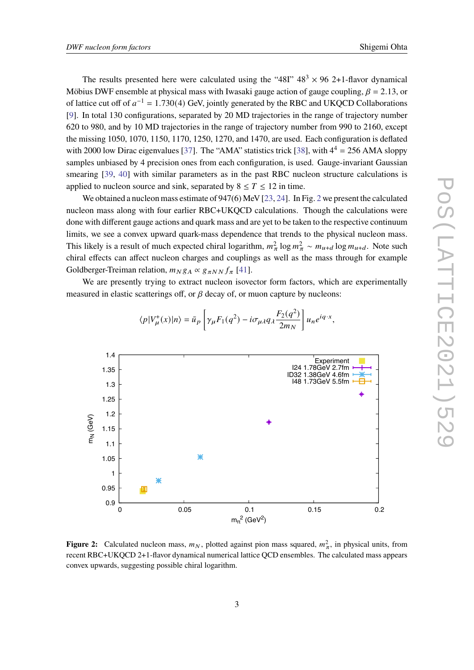The results presented here were calculated using the "48I"  $48^3 \times 96$  2+1-flavor dynamical Möbius DWF ensemble at physical mass with Iwasaki gauge action of gauge coupling,  $\beta = 2.13$ , or of lattice cut off of  $a^{-1} = 1.730(4)$  GeV, jointly generated by the RBC and UKQCD Collaborations [\[9\]](#page-4-2). In total 130 configurations, separated by 20 MD trajectories in the range of trajectory number 620 to 980, and by 10 MD trajectories in the range of trajectory number from 990 to 2160, except the missing 1050, 1070, 1150, 1170, 1250, 1270, and 1470, are used. Each configuration is deflated with 2000 low Dirac eigenvalues [\[37\]](#page-6-8). The "AMA" statistics trick [\[38\]](#page-6-9), with  $4^4 = 256$  AMA sloppy samples unbiased by 4 precision ones from each configuration, is used. Gauge-invariant Gaussian smearing [\[39,](#page-6-10) [40\]](#page-6-11) with similar parameters as in the past RBC nucleon structure calculations is applied to nucleon source and sink, separated by  $8 \le T \le 12$  in time.

We obtained a nucleon mass estimate of 947(6) MeV [\[23,](#page-5-5) [24\]](#page-5-6). In Fig. [2](#page-2-0) we present the calculated nucleon mass along with four earlier RBC+UKQCD calculations. Though the calculations were done with different gauge actions and quark mass and are yet to be taken to the respective continuum limits, we see a convex upward quark-mass dependence that trends to the physical nucleon mass. This likely is a result of much expected chiral logarithm,  $m_{\pi}^2 \log m_{\pi}^2 \sim m_{u+d} \log m_{u+d}$ . Note such chiral effects can affect nucleon charges and couplings as well as the mass through for example Goldberger-Treiman relation,  $m_N g_A \propto g_{\pi NN} f_\pi$  [\[41\]](#page-6-12).

We are presently trying to extract nucleon isovector form factors, which are experimentally measured in elastic scatterings off, or  $\beta$  decay of, or muon capture by nucleons:

<span id="page-2-0"></span>

$$
\langle p|V^+_\mu(x)|n\rangle=\bar u_p\left[\gamma_\mu F_1(q^2)-i\sigma_{\mu\lambda}q_\lambda\frac{F_2(q^2)}{2m_N}\right]u_ne^{iq\cdot x},
$$

**Figure 2:** Calculated nucleon mass,  $m_N$ , plotted against pion mass squared,  $m_{\pi}^2$ , in physical units, from recent RBC+UKQCD 2+1-flavor dynamical numerical lattice QCD ensembles. The calculated mass appears convex upwards, suggesting possible chiral logarithm.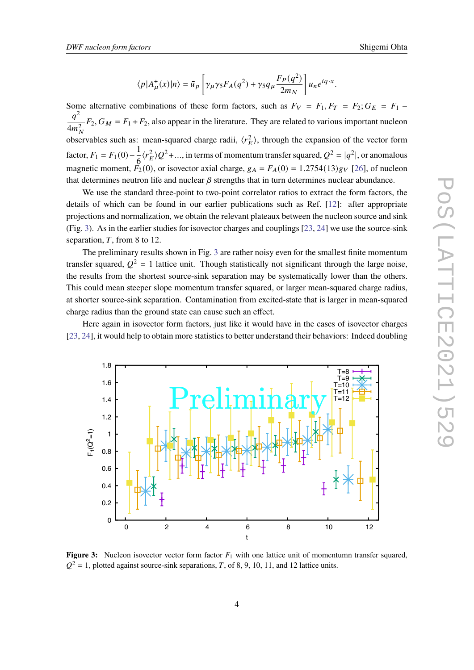$$
\langle p|A^+_{\mu}(x)|n\rangle = \bar{u}_p \left[ \gamma_{\mu} \gamma_5 F_A(q^2) + \gamma_5 q_{\mu} \frac{F_P(q^2)}{2m_N} \right] u_n e^{iq \cdot x}.
$$

Some alternative combinations of these form factors, such as  $F_V = F_1, F_T = F_2; G_E = F_1$  –  $a^2$  $4m_N^2$  $F_2$ ,  $G_M = F_1 + F_2$ , also appear in the literature. They are related to various important nucleon observables such as: mean-squared charge radii,  $\langle r_E^2 \rangle$ , through the expansion of the vector form factor,  $F_1 = F_1(0) - \frac{1}{6}$  $\langle r_E^2 \rangle Q^2$ +..., in terms of momentum transfer squared,  $Q^2 = |q^2|$ , or anomalous magnetic moment,  $F_2(0)$ , or isovector axial charge,  $g_A = F_A(0) = 1.2754(13)g_V$  [\[26\]](#page-6-1), of nucleon that determines neutron life and nuclear  $\beta$  strengths that in turn determines nuclear abundance.

We use the standard three-point to two-point correlator ratios to extract the form factors, the details of which can be found in our earlier publications such as Ref. [\[12\]](#page-5-7): after appropriate projections and normalization, we obtain the relevant plateaux between the nucleon source and sink (Fig. [3\)](#page-3-0). As in the earlier studies for isovector charges and couplings [\[23,](#page-5-5) [24\]](#page-5-6) we use the source-sink separation,  $T$ , from 8 to 12.

The preliminary results shown in Fig. [3](#page-3-0) are rather noisy even for the smallest finite momentum transfer squared,  $Q^2 = 1$  lattice unit. Though statistically not significant through the large noise, the results from the shortest source-sink separation may be systematically lower than the others. This could mean steeper slope momentum transfer squared, or larger mean-squared charge radius, at shorter source-sink separation. Contamination from excited-state that is larger in mean-squared charge radius than the ground state can cause such an effect.

Here again in isovector form factors, just like it would have in the cases of isovector charges [\[23,](#page-5-5) [24\]](#page-5-6), it would help to obtain more statistics to better understand their behaviors: Indeed doubling

<span id="page-3-0"></span>

**Figure 3:** Nucleon isovector vector form factor  $F_1$  with one lattice unit of momentumn transfer squared,  $Q^2 = 1$ , plotted against source-sink separations, T, of 8, 9, 10, 11, and 12 lattice units.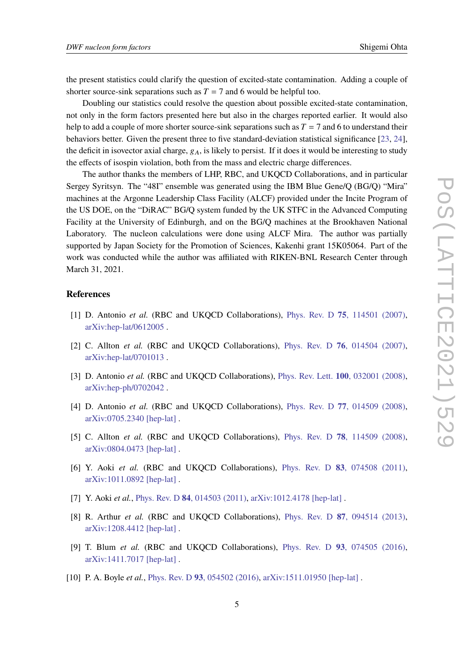the present statistics could clarify the question of excited-state contamination. Adding a couple of shorter source-sink separations such as  $T = 7$  and 6 would be helpful too.

Doubling our statistics could resolve the question about possible excited-state contamination, not only in the form factors presented here but also in the charges reported earlier. It would also help to add a couple of more shorter source-sink separations such as  $T = 7$  and 6 to understand their behaviors better. Given the present three to five standard-deviation statistical significance [\[23,](#page-5-5) [24\]](#page-5-6), the deficit in isovector axial charge,  $g_A$ , is likely to persist. If it does it would be interesting to study the effects of isospin violation, both from the mass and electric charge differences.

The author thanks the members of LHP, RBC, and UKQCD Collaborations, and in particular Sergey Syritsyn. The "48I" ensemble was generated using the IBM Blue Gene/Q (BG/Q) "Mira" machines at the Argonne Leadership Class Facility (ALCF) provided under the Incite Program of the US DOE, on the "DiRAC" BG/Q system funded by the UK STFC in the Advanced Computing Facility at the University of Edinburgh, and on the BG/Q machines at the Brookhaven National Laboratory. The nucleon calculations were done using ALCF Mira. The author was partially supported by Japan Society for the Promotion of Sciences, Kakenhi grant 15K05064. Part of the work was conducted while the author was affiliated with RIKEN-BNL Research Center through March 31, 2021.

## **References**

- <span id="page-4-0"></span>[1] D. Antonio *et al.* (RBC and UKQCD Collaborations), Phys. Rev. D **75**[, 114501 \(2007\),](https://doi.org/10.1103/PhysRevD.75.114501) [arXiv:hep-lat/0612005](https://arxiv.org/abs/hep-lat/0612005) .
- [2] C. Allton *et al.* (RBC and UKQCD Collaborations), Phys. Rev. D **76**[, 014504 \(2007\),](https://doi.org/10.1103/PhysRevD.76.014504) [arXiv:hep-lat/0701013](https://arxiv.org/abs/hep-lat/0701013) .
- [3] D. Antonio *et al.* (RBC and UKQCD Collaborations), Phys. Rev. Lett. **100**[, 032001 \(2008\),](https://doi.org/10.1103/PhysRevLett.100.032001) [arXiv:hep-ph/0702042](https://arxiv.org/abs/hep-ph/0702042) .
- [4] D. Antonio *et al.* (RBC and UKQCD Collaborations), Phys. Rev. D **77**[, 014509 \(2008\),](https://doi.org/10.1103/PhysRevD.77.014509) [arXiv:0705.2340 \[hep-lat\]](https://arxiv.org/abs/0705.2340) .
- [5] C. Allton *et al.* (RBC and UKQCD Collaborations), Phys. Rev. D **78**[, 114509 \(2008\),](https://doi.org/10.1103/PhysRevD.78.114509) [arXiv:0804.0473 \[hep-lat\]](https://arxiv.org/abs/0804.0473) .
- [6] Y. Aoki *et al.* (RBC and UKQCD Collaborations), Phys. Rev. D **83**[, 074508 \(2011\),](https://doi.org/10.1103/PhysRevD.83.074508) [arXiv:1011.0892 \[hep-lat\]](https://arxiv.org/abs/1011.0892) .
- [7] Y. Aoki *et al.*, Phys. Rev. D **84**[, 014503 \(2011\),](https://doi.org/10.1103/PhysRevD.84.014503) [arXiv:1012.4178 \[hep-lat\]](https://arxiv.org/abs/1012.4178) .
- [8] R. Arthur *et al.* (RBC and UKQCD Collaborations), Phys. Rev. D **87**[, 094514 \(2013\),](https://doi.org/10.1103/PhysRevD.87.094514) [arXiv:1208.4412 \[hep-lat\]](https://arxiv.org/abs/1208.4412) .
- <span id="page-4-2"></span>[9] T. Blum *et al.* (RBC and UKQCD Collaborations), Phys. Rev. D **93**[, 074505 \(2016\),](https://doi.org/10.1103/PhysRevD.93.074505) [arXiv:1411.7017 \[hep-lat\]](https://arxiv.org/abs/1411.7017) .
- <span id="page-4-1"></span>[10] P. A. Boyle *et al.*, Phys. Rev. D 93[, 054502 \(2016\),](https://doi.org/10.1103/PhysRevD.93.054502) [arXiv:1511.01950 \[hep-lat\]](https://arxiv.org/abs/1511.01950).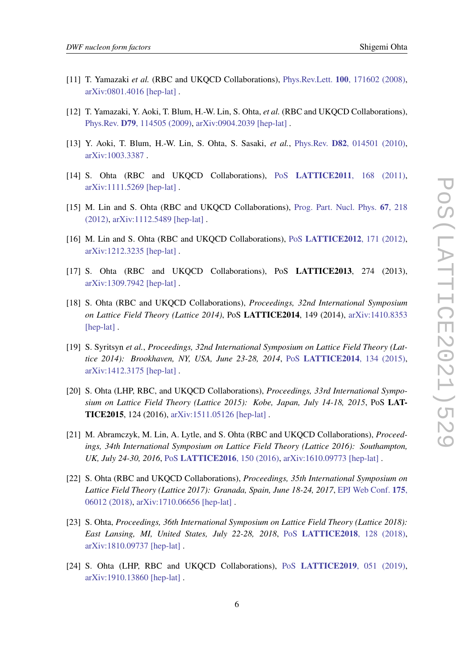- <span id="page-5-0"></span>[11] T. Yamazaki *et al.* (RBC and UKQCD Collaborations), Phys.Rev.Lett. **100**[, 171602 \(2008\),](https://doi.org/10.1103/PhysRevLett.100.171602) [arXiv:0801.4016 \[hep-lat\]](https://arxiv.org/abs/0801.4016) .
- <span id="page-5-7"></span>[12] T. Yamazaki, Y. Aoki, T. Blum, H.-W. Lin, S. Ohta, *et al.* (RBC and UKQCD Collaborations), Phys.Rev. **D79**[, 114505 \(2009\),](https://doi.org/10.1103/PhysRevD.79.114505) [arXiv:0904.2039 \[hep-lat\]](https://arxiv.org/abs/0904.2039) .
- [13] Y. Aoki, T. Blum, H.-W. Lin, S. Ohta, S. Sasaki, *et al.*, Phys.Rev. **D82**[, 014501 \(2010\),](https://doi.org/10.1103/PhysRevD.82.014501) [arXiv:1003.3387](https://arxiv.org/abs/1003.3387) .
- <span id="page-5-1"></span>[14] S. Ohta (RBC and UKQCD Collaborations), PoS **[LATTICE2011](https://doi.org/10.22323/1.139.0168)**, 168 (2011), [arXiv:1111.5269 \[hep-lat\]](https://arxiv.org/abs/1111.5269) .
- [15] M. Lin and S. Ohta (RBC and UKQCD Collaborations), [Prog. Part. Nucl. Phys.](https://doi.org/10.1016/j.ppnp.2011.12.021) **67**, 218 [\(2012\),](https://doi.org/10.1016/j.ppnp.2011.12.021) [arXiv:1112.5489 \[hep-lat\]](https://arxiv.org/abs/1112.5489) .
- [16] M. Lin and S. Ohta (RBC and UKQCD Collaborations), PoS **[LATTICE2012](https://doi.org/10.22323/1.164.0171)**, 171 (2012), [arXiv:1212.3235 \[hep-lat\]](https://arxiv.org/abs/1212.3235) .
- [17] S. Ohta (RBC and UKQCD Collaborations), PoS **LATTICE2013**, 274 (2013), [arXiv:1309.7942 \[hep-lat\]](https://arxiv.org/abs/1309.7942) .
- <span id="page-5-2"></span>[18] S. Ohta (RBC and UKQCD Collaborations), *Proceedings, 32nd International Symposium on Lattice Field Theory (Lattice 2014)*, PoS **LATTICE2014**, 149 (2014), [arXiv:1410.8353](https://arxiv.org/abs/1410.8353) [\[hep-lat\]](https://arxiv.org/abs/1410.8353).
- [19] S. Syritsyn *et al.*, *Proceedings, 32nd International Symposium on Lattice Field Theory (Lattice 2014): Brookhaven, NY, USA, June 23-28, 2014*, PoS **[LATTICE2014](https://doi.org/10.22323/1.214.0134)**, 134 (2015), [arXiv:1412.3175 \[hep-lat\]](https://arxiv.org/abs/1412.3175) .
- <span id="page-5-3"></span>[20] S. Ohta (LHP, RBC, and UKQCD Collaborations), *Proceedings, 33rd International Symposium on Lattice Field Theory (Lattice 2015): Kobe, Japan, July 14-18, 2015*, PoS **LAT-TICE2015**, 124 (2016), [arXiv:1511.05126 \[hep-lat\]](https://arxiv.org/abs/1511.05126) .
- [21] M. Abramczyk, M. Lin, A. Lytle, and S. Ohta (RBC and UKQCD Collaborations), *Proceedings, 34th International Symposium on Lattice Field Theory (Lattice 2016): Southampton, UK, July 24-30, 2016*, PoS **[LATTICE2016](https://doi.org/10.22323/1.256.0150)**, 150 (2016), [arXiv:1610.09773 \[hep-lat\]](https://arxiv.org/abs/1610.09773) .
- <span id="page-5-4"></span>[22] S. Ohta (RBC and UKQCD Collaborations), *Proceedings, 35th International Symposium on Lattice Field Theory (Lattice 2017): Granada, Spain, June 18-24, 2017*, [EPJ Web Conf.](https://doi.org/10.1051/epjconf/201817506012) **175**, [06012 \(2018\),](https://doi.org/10.1051/epjconf/201817506012) [arXiv:1710.06656 \[hep-lat\]](https://arxiv.org/abs/1710.06656) .
- <span id="page-5-5"></span>[23] S. Ohta, *Proceedings, 36th International Symposium on Lattice Field Theory (Lattice 2018): East Lansing, MI, United States, July 22-28, 2018*, PoS **[LATTICE2018](https://doi.org/10.22323/1.334.0128)**, 128 (2018), [arXiv:1810.09737 \[hep-lat\]](https://arxiv.org/abs/1810.09737) .
- <span id="page-5-6"></span>[24] S. Ohta (LHP, RBC and UKQCD Collaborations), PoS **[LATTICE2019](https://doi.org/10.22323/1.363.0051)**, 051 (2019), [arXiv:1910.13860 \[hep-lat\]](https://arxiv.org/abs/1910.13860) .